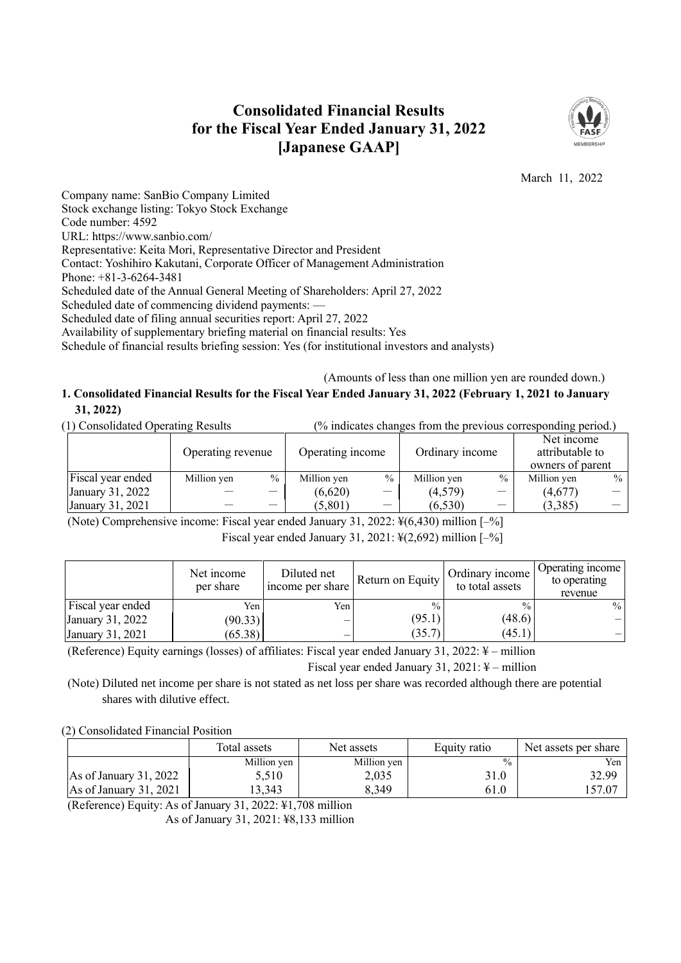# **Consolidated Financial Results for the Fiscal Year Ended January 31, 2022 [Japanese GAAP]**



March 11, 2022

Company name: SanBio Company Limited Stock exchange listing: Tokyo Stock Exchange Code number: 4592 URL: https://www.sanbio.com/ Representative: Keita Mori, Representative Director and President Contact: Yoshihiro Kakutani, Corporate Officer of Management Administration Phone: +81-3-6264-3481 Scheduled date of the Annual General Meeting of Shareholders: April 27, 2022 Scheduled date of commencing dividend payments: — Scheduled date of filing annual securities report: April 27, 2022 Availability of supplementary briefing material on financial results: Yes

Schedule of financial results briefing session: Yes (for institutional investors and analysts)

(Amounts of less than one million yen are rounded down.)

## **1. Consolidated Financial Results for the Fiscal Year Ended January 31, 2022 (February 1, 2021 to January 31, 2022)**

|  | (1) Consolidated Operating Results |  | $\frac{1}{2}$ (% indicates changes from the previous corresponding period.) |  |
|--|------------------------------------|--|-----------------------------------------------------------------------------|--|
|--|------------------------------------|--|-----------------------------------------------------------------------------|--|

|                   | Operating revenue |      | Operating income |                          | Ordinary income |                                 | Net income<br>attributable to<br>owners of parent |      |
|-------------------|-------------------|------|------------------|--------------------------|-----------------|---------------------------------|---------------------------------------------------|------|
| Fiscal year ended | Million yen       | $\%$ | Million yen      | $\frac{0}{0}$            | Million yen     | $\frac{0}{0}$                   | Million yen                                       | $\%$ |
| January 31, 2022  |                   | —    | (6,620)          | $\overline{\phantom{m}}$ | (4,579)         | $\hspace{0.1mm}-\hspace{0.1mm}$ | (4,677)                                           |      |
| January 31, 2021  |                   |      | (5,801)          |                          | (6,530)         |                                 | (3,385)                                           |      |

(Note) Comprehensive income: Fiscal year ended January 31, 2022: ¥(6,430) million [–%]

Fiscal year ended January 31, 2021:  $\frac{1}{2}(2,692)$  million  $[-\%]$ 

|                   | Net income<br>per share | Diluted net<br>income per share | Return on Equity | Ordinary income<br>to total assets | Operating income<br>to operating<br>revenue |
|-------------------|-------------------------|---------------------------------|------------------|------------------------------------|---------------------------------------------|
| Fiscal year ended | Yen.                    | Yen.                            | $\frac{0}{0}$    | $\frac{0}{0}$                      | $\%$                                        |
| January 31, 2022  | (90.33)                 |                                 | (95.1)           | (48.6)                             |                                             |
| January 31, 2021  | (65.38)                 |                                 | (35.7)           | (45.1)                             |                                             |

(Reference) Equity earnings (losses) of affiliates: Fiscal year ended January 31, 2022: ¥ – million

Fiscal year ended January 31, 2021: ¥ – million

(Note) Diluted net income per share is not stated as net loss per share was recorded although there are potential shares with dilutive effect.

(2) Consolidated Financial Position

|                          | Total assets | Net assets  | Equity ratio  | Net assets per share |
|--------------------------|--------------|-------------|---------------|----------------------|
|                          | Million yen  | Million yen | $\frac{0}{0}$ | Yen                  |
| As of January $31,2022$  | 5,510        | 2,035       | 31.0          | 32.99                |
| As of January $31, 2021$ | 13,343       | 8,349       | 61.0          | 157.07               |

(Reference) Equity: As of January 31, 2022: ¥1,708 million As of January 31, 2021: ¥8,133 million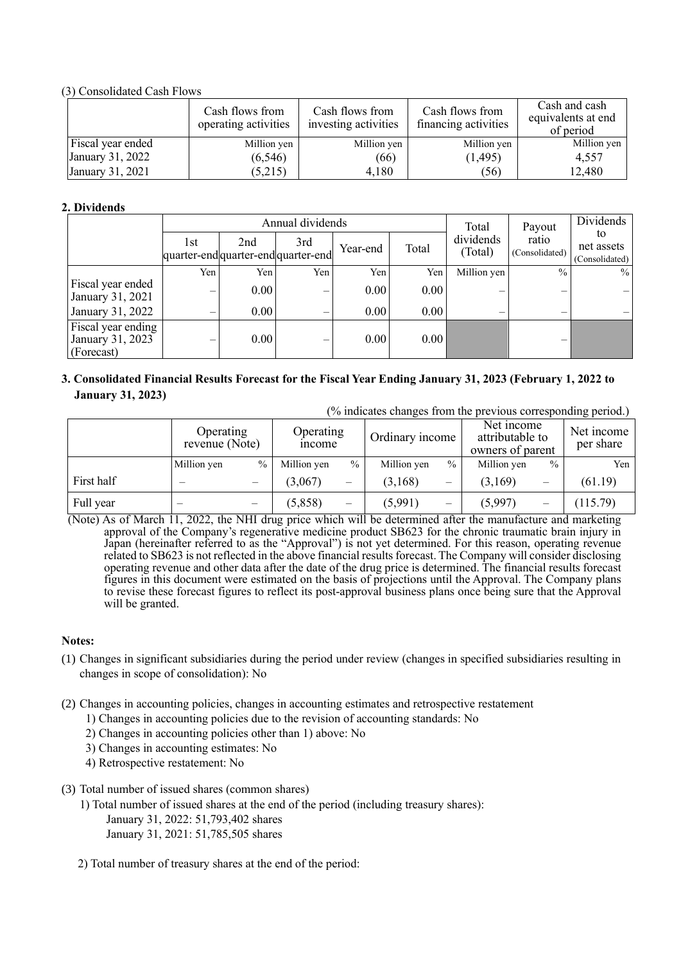(3) Consolidated Cash Flows

|                   | Cash flows from<br>operating activities | Cash flows from<br>investing activities | Cash flows from<br>financing activities | Cash and cash<br>equivalents at end<br>of period |
|-------------------|-----------------------------------------|-----------------------------------------|-----------------------------------------|--------------------------------------------------|
| Fiscal year ended | Million yen                             | Million yen                             | Million yen                             | Million yen                                      |
| January 31, 2022  | (6, 546)                                | (66)                                    | (1, 495)                                | 4,557                                            |
| January 31, 2021  | (5,215)                                 | 4,180                                   | (56)                                    | 12,480                                           |

### **2. Dividends**

|                                                      |     |                                          | Annual dividends |          |       | Total                | Payout                  | <b>Dividends</b>                   |
|------------------------------------------------------|-----|------------------------------------------|------------------|----------|-------|----------------------|-------------------------|------------------------------------|
|                                                      | 1st | 2nd<br>quarter-endquarter-endquarter-end | 3rd              | Year-end | Total | dividends<br>(Total) | ratio<br>(Consolidated) | to<br>net assets<br>(Consolidated) |
|                                                      | Yen | Yen                                      | Yen              | Yen      | Yen   | Million yen          | $\frac{0}{0}$           | $\frac{0}{0}$                      |
| Fiscal year ended<br>January 31, 2021                | -   | 0.00                                     | —                | 0.00     | 0.00  | -                    |                         |                                    |
| January 31, 2022                                     | _   | 0.00                                     | —                | 0.00     | 0.00  |                      |                         |                                    |
| Fiscal year ending<br>January 31, 2023<br>(Forecast) | _   | 0.00                                     | —                | 0.00     | 0.00  |                      |                         |                                    |

## **3. Consolidated Financial Results Forecast for the Fiscal Year Ending January 31, 2023 (February 1, 2022 to January 31, 2023)**

|  | (% indicates changes from the previous corresponding period.) |  |  |  |  |
|--|---------------------------------------------------------------|--|--|--|--|
|  |                                                               |  |  |  |  |

|            | Operating<br>revenue (Note) |                          | Operating<br><i>n</i> come |      | Ordinary income |               | Net income<br>attributable to<br>owners of parent |               | Net income<br>per share |  |
|------------|-----------------------------|--------------------------|----------------------------|------|-----------------|---------------|---------------------------------------------------|---------------|-------------------------|--|
|            | Million yen                 | $\frac{0}{0}$            | Million yen                | $\%$ | Million yen     | $\frac{0}{0}$ | Million yen                                       | $\frac{0}{0}$ | Yen                     |  |
| First half |                             |                          | (3,067)                    | -    | (3,168)         | —             | (3,169)                                           | -             | (61.19)                 |  |
| Full year  | $\overline{\phantom{0}}$    | $\overline{\phantom{0}}$ | (5,858)                    |      | (5,991)         | -             | (5,997)                                           |               | (115.79)                |  |

(Note) As of March 11, 2022, the NHI drug price which will be determined after the manufacture and marketing approval of the Company's regenerative medicine product SB623 for the chronic traumatic brain injury in Japan (hereinafter referred to as the "Approval") is not yet determined. For this reason, operating revenue related to SB623 is not reflected in the above financial results forecast. The Company will consider disclosing operating revenue and other data after the date of the drug price is determined. The financial results forecast figures in this document were estimated on the basis of projections until the Approval. The Company plans to revise these forecast figures to reflect its post-approval business plans once being sure that the Approval will be granted.

### **Notes:**

- (1) Changes in significant subsidiaries during the period under review (changes in specified subsidiaries resulting in changes in scope of consolidation): No
- (2) Changes in accounting policies, changes in accounting estimates and retrospective restatement
	- 1) Changes in accounting policies due to the revision of accounting standards: No
	- 2) Changes in accounting policies other than 1) above: No
	- 3) Changes in accounting estimates: No
	- 4) Retrospective restatement: No
- (3) Total number of issued shares (common shares)
	- 1) Total number of issued shares at the end of the period (including treasury shares):
		- January 31, 2022: 51,793,402 shares January 31, 2021: 51,785,505 shares
	- 2) Total number of treasury shares at the end of the period: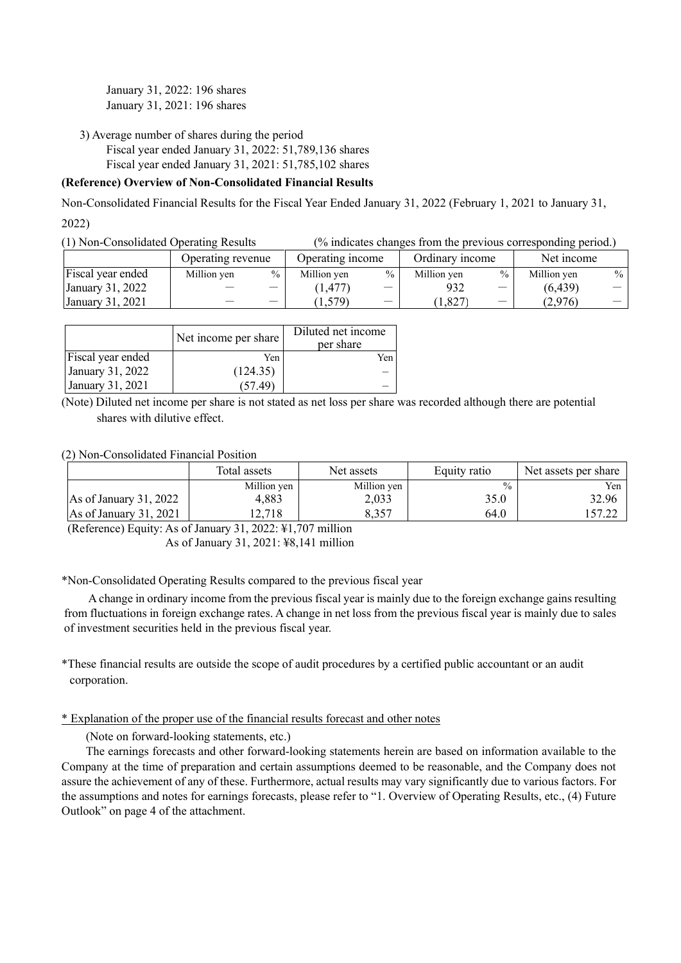January 31, 2022: 196 shares January 31, 2021: 196 shares

3) Average number of shares during the period Fiscal year ended January 31, 2022: 51,789,136 shares Fiscal year ended January 31, 2021: 51,785,102 shares

### **(Reference) Overview of Non-Consolidated Financial Results**

Non-Consolidated Financial Results for the Fiscal Year Ended January 31, 2022 (February 1, 2021 to January 31,

2022)

(1) Non-Consolidated Operating Results (% indicates changes from the previous corresponding period.)

|                   | Operating revenue |                          | Operating income |               | Ordinary income |               | Net income  |      |
|-------------------|-------------------|--------------------------|------------------|---------------|-----------------|---------------|-------------|------|
| Fiscal year ended | Million yen       | $\%$                     | Million yen      | $\frac{0}{0}$ | Million ven     | $\frac{0}{0}$ | Million ven | $\%$ |
| January 31, 2022  |                   | $\overline{\phantom{0}}$ | 1,477            |               | 932             |               | (6, 439)    |      |
| January 31, 2021  |                   | _                        | 579)             |               | 1,827           |               | (2.976)     |      |

|                   | Net income per share | Diluted net income<br>per share |
|-------------------|----------------------|---------------------------------|
| Fiscal year ended | Yen                  | Yen                             |
| January 31, 2022  | (124.35)             |                                 |
| January 31, 2021  | 57 49                |                                 |

(Note) Diluted net income per share is not stated as net loss per share was recorded although there are potential shares with dilutive effect.

(2) Non-Consolidated Financial Position

|                          | Total assets | Net assets  | Equity ratio  | Net assets per share |
|--------------------------|--------------|-------------|---------------|----------------------|
|                          | Million yen  | Million yen | $\frac{0}{0}$ | Yen                  |
| As of January 31, 2022   | 4.883        | 2,033       | 35.0          | 32.96                |
| As of January $31, 2021$ | 12.718       | 8,357       | 64.0          |                      |

(Reference) Equity: As of January 31, 2022: ¥1,707 million

As of January 31, 2021: ¥8,141 million

\*Non-Consolidated Operating Results compared to the previous fiscal year

A change in ordinary income from the previous fiscal year is mainly due to the foreign exchange gains resulting from fluctuations in foreign exchange rates. A change in net loss from the previous fiscal year is mainly due to sales of investment securities held in the previous fiscal year.

\*These financial results are outside the scope of audit procedures by a certified public accountant or an audit corporation.

\* Explanation of the proper use of the financial results forecast and other notes

(Note on forward-looking statements, etc.)

The earnings forecasts and other forward-looking statements herein are based on information available to the Company at the time of preparation and certain assumptions deemed to be reasonable, and the Company does not assure the achievement of any of these. Furthermore, actual results may vary significantly due to various factors. For the assumptions and notes for earnings forecasts, please refer to "1. Overview of Operating Results, etc., (4) Future Outlook" on page 4 of the attachment.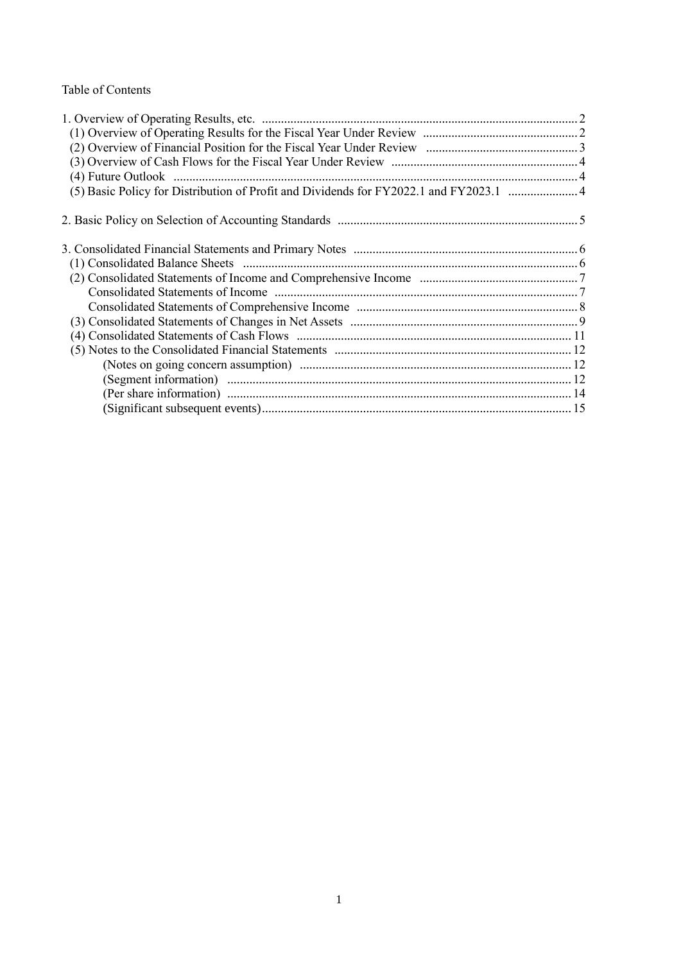## Table of Contents

| (5) Basic Policy for Distribution of Profit and Dividends for FY2022.1 and FY2023.1 4 |  |
|---------------------------------------------------------------------------------------|--|
|                                                                                       |  |
|                                                                                       |  |
|                                                                                       |  |
|                                                                                       |  |
|                                                                                       |  |
|                                                                                       |  |
|                                                                                       |  |
|                                                                                       |  |
|                                                                                       |  |
|                                                                                       |  |
|                                                                                       |  |
|                                                                                       |  |
|                                                                                       |  |
|                                                                                       |  |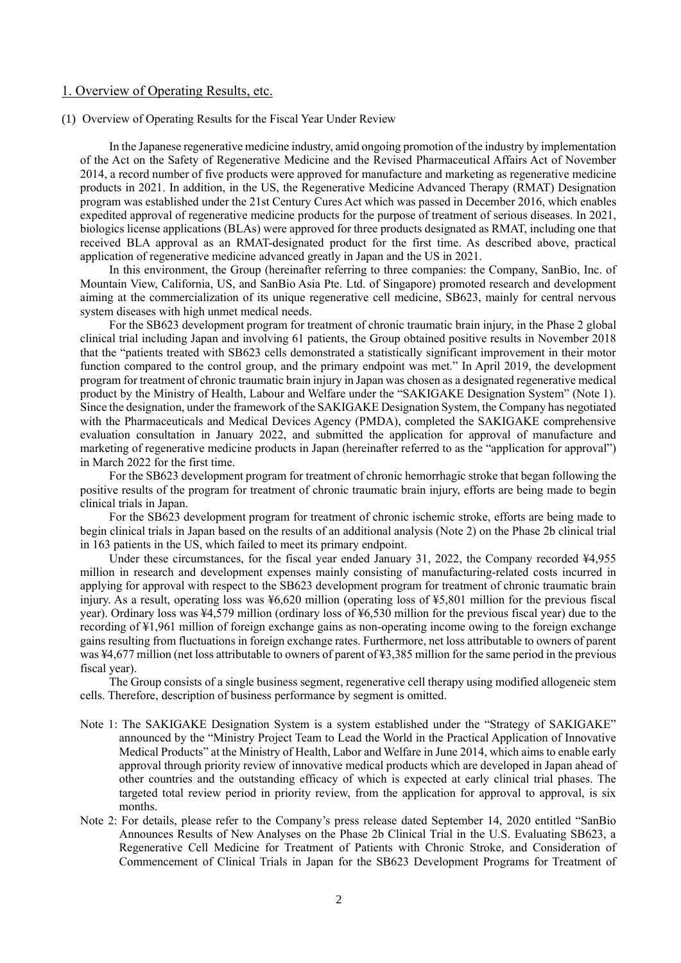### 1. Overview of Operating Results, etc.

#### (1) Overview of Operating Results for the Fiscal Year Under Review

In the Japanese regenerative medicine industry, amid ongoing promotion of the industry by implementation of the Act on the Safety of Regenerative Medicine and the Revised Pharmaceutical Affairs Act of November 2014, a record number of five products were approved for manufacture and marketing as regenerative medicine products in 2021. In addition, in the US, the Regenerative Medicine Advanced Therapy (RMAT) Designation program was established under the 21st Century Cures Act which was passed in December 2016, which enables expedited approval of regenerative medicine products for the purpose of treatment of serious diseases. In 2021, biologics license applications (BLAs) were approved for three products designated as RMAT, including one that received BLA approval as an RMAT-designated product for the first time. As described above, practical application of regenerative medicine advanced greatly in Japan and the US in 2021.

In this environment, the Group (hereinafter referring to three companies: the Company, SanBio, Inc. of Mountain View, California, US, and SanBio Asia Pte. Ltd. of Singapore) promoted research and development aiming at the commercialization of its unique regenerative cell medicine, SB623, mainly for central nervous system diseases with high unmet medical needs.

For the SB623 development program for treatment of chronic traumatic brain injury, in the Phase 2 global clinical trial including Japan and involving 61 patients, the Group obtained positive results in November 2018 that the "patients treated with SB623 cells demonstrated a statistically significant improvement in their motor function compared to the control group, and the primary endpoint was met." In April 2019, the development program for treatment of chronic traumatic brain injury in Japan was chosen as a designated regenerative medical product by the Ministry of Health, Labour and Welfare under the "SAKIGAKE Designation System" (Note 1). Since the designation, under the framework of the SAKIGAKE Designation System, the Company has negotiated with the Pharmaceuticals and Medical Devices Agency (PMDA), completed the SAKIGAKE comprehensive evaluation consultation in January 2022, and submitted the application for approval of manufacture and marketing of regenerative medicine products in Japan (hereinafter referred to as the "application for approval") in March 2022 for the first time.

For the SB623 development program for treatment of chronic hemorrhagic stroke that began following the positive results of the program for treatment of chronic traumatic brain injury, efforts are being made to begin clinical trials in Japan.

For the SB623 development program for treatment of chronic ischemic stroke, efforts are being made to begin clinical trials in Japan based on the results of an additional analysis (Note 2) on the Phase 2b clinical trial in 163 patients in the US, which failed to meet its primary endpoint.

Under these circumstances, for the fiscal year ended January 31, 2022, the Company recorded ¥4,955 million in research and development expenses mainly consisting of manufacturing-related costs incurred in applying for approval with respect to the SB623 development program for treatment of chronic traumatic brain injury. As a result, operating loss was ¥6,620 million (operating loss of ¥5,801 million for the previous fiscal year). Ordinary loss was ¥4,579 million (ordinary loss of ¥6,530 million for the previous fiscal year) due to the recording of ¥1,961 million of foreign exchange gains as non-operating income owing to the foreign exchange gains resulting from fluctuations in foreign exchange rates. Furthermore, net loss attributable to owners of parent was ¥4,677 million (net loss attributable to owners of parent of ¥3,385 million for the same period in the previous fiscal year).

The Group consists of a single business segment, regenerative cell therapy using modified allogeneic stem cells. Therefore, description of business performance by segment is omitted.

- Note 1: The SAKIGAKE Designation System is a system established under the "Strategy of SAKIGAKE" announced by the "Ministry Project Team to Lead the World in the Practical Application of Innovative Medical Products" at the Ministry of Health, Labor and Welfare in June 2014, which aims to enable early approval through priority review of innovative medical products which are developed in Japan ahead of other countries and the outstanding efficacy of which is expected at early clinical trial phases. The targeted total review period in priority review, from the application for approval to approval, is six months.
- Note 2: For details, please refer to the Company's press release dated September 14, 2020 entitled "SanBio Announces Results of New Analyses on the Phase 2b Clinical Trial in the U.S. Evaluating SB623, a Regenerative Cell Medicine for Treatment of Patients with Chronic Stroke, and Consideration of Commencement of Clinical Trials in Japan for the SB623 Development Programs for Treatment of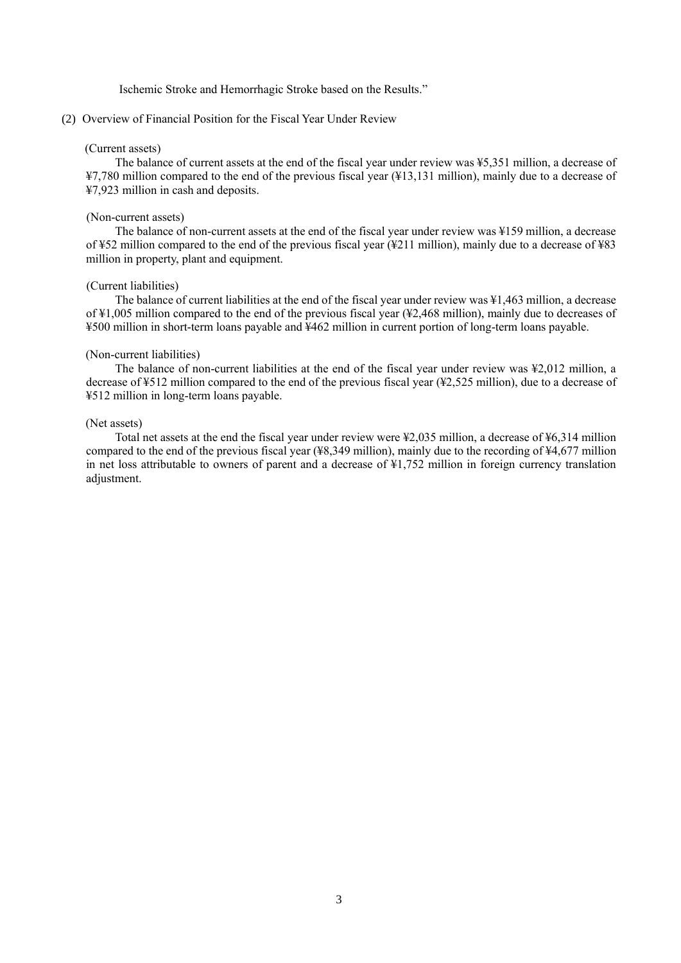Ischemic Stroke and Hemorrhagic Stroke based on the Results."

### (2) Overview of Financial Position for the Fiscal Year Under Review

#### (Current assets)

The balance of current assets at the end of the fiscal year under review was ¥5,351 million, a decrease of ¥7,780 million compared to the end of the previous fiscal year (¥13,131 million), mainly due to a decrease of ¥7,923 million in cash and deposits.

#### (Non-current assets)

The balance of non-current assets at the end of the fiscal year under review was ¥159 million, a decrease of ¥52 million compared to the end of the previous fiscal year (¥211 million), mainly due to a decrease of ¥83 million in property, plant and equipment.

#### (Current liabilities)

The balance of current liabilities at the end of the fiscal year under review was ¥1,463 million, a decrease of ¥1,005 million compared to the end of the previous fiscal year (¥2,468 million), mainly due to decreases of ¥500 million in short-term loans payable and ¥462 million in current portion of long-term loans payable.

#### (Non-current liabilities)

The balance of non-current liabilities at the end of the fiscal year under review was ¥2,012 million, a decrease of ¥512 million compared to the end of the previous fiscal year (¥2,525 million), due to a decrease of ¥512 million in long-term loans payable.

## (Net assets)

Total net assets at the end the fiscal year under review were ¥2,035 million, a decrease of ¥6,314 million compared to the end of the previous fiscal year (¥8,349 million), mainly due to the recording of ¥4,677 million in net loss attributable to owners of parent and a decrease of ¥1,752 million in foreign currency translation adjustment.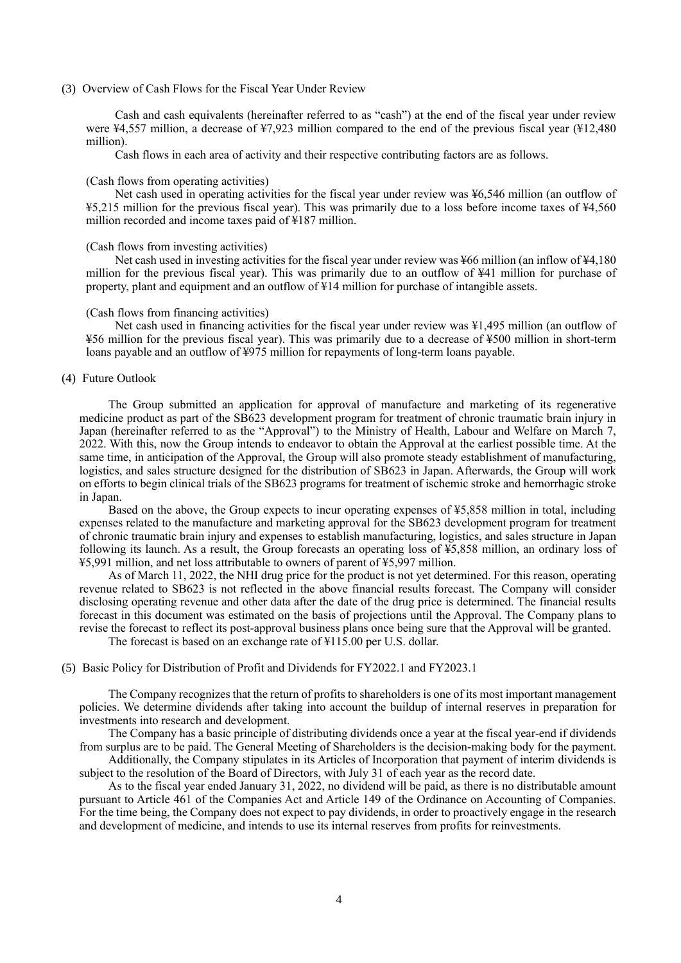(3) Overview of Cash Flows for the Fiscal Year Under Review

Cash and cash equivalents (hereinafter referred to as "cash") at the end of the fiscal year under review were ¥4,557 million, a decrease of ¥7,923 million compared to the end of the previous fiscal year (¥12,480 million).

Cash flows in each area of activity and their respective contributing factors are as follows.

#### (Cash flows from operating activities)

Net cash used in operating activities for the fiscal year under review was ¥6,546 million (an outflow of ¥5,215 million for the previous fiscal year). This was primarily due to a loss before income taxes of ¥4,560 million recorded and income taxes paid of ¥187 million.

#### (Cash flows from investing activities)

Net cash used in investing activities for the fiscal year under review was ¥66 million (an inflow of ¥4,180 million for the previous fiscal year). This was primarily due to an outflow of ¥41 million for purchase of property, plant and equipment and an outflow of ¥14 million for purchase of intangible assets.

#### (Cash flows from financing activities)

Net cash used in financing activities for the fiscal year under review was ¥1,495 million (an outflow of ¥56 million for the previous fiscal year). This was primarily due to a decrease of ¥500 million in short-term loans payable and an outflow of ¥975 million for repayments of long-term loans payable.

#### (4) Future Outlook

The Group submitted an application for approval of manufacture and marketing of its regenerative medicine product as part of the SB623 development program for treatment of chronic traumatic brain injury in Japan (hereinafter referred to as the "Approval") to the Ministry of Health, Labour and Welfare on March 7, 2022. With this, now the Group intends to endeavor to obtain the Approval at the earliest possible time. At the same time, in anticipation of the Approval, the Group will also promote steady establishment of manufacturing, logistics, and sales structure designed for the distribution of SB623 in Japan. Afterwards, the Group will work on efforts to begin clinical trials of the SB623 programs for treatment of ischemic stroke and hemorrhagic stroke in Japan.

Based on the above, the Group expects to incur operating expenses of ¥5,858 million in total, including expenses related to the manufacture and marketing approval for the SB623 development program for treatment of chronic traumatic brain injury and expenses to establish manufacturing, logistics, and sales structure in Japan following its launch. As a result, the Group forecasts an operating loss of ¥5,858 million, an ordinary loss of ¥5,991 million, and net loss attributable to owners of parent of ¥5,997 million.

As of March 11, 2022, the NHI drug price for the product is not yet determined. For this reason, operating revenue related to SB623 is not reflected in the above financial results forecast. The Company will consider disclosing operating revenue and other data after the date of the drug price is determined. The financial results forecast in this document was estimated on the basis of projections until the Approval. The Company plans to revise the forecast to reflect its post-approval business plans once being sure that the Approval will be granted.

The forecast is based on an exchange rate of ¥115.00 per U.S. dollar.

#### (5) Basic Policy for Distribution of Profit and Dividends for FY2022.1 and FY2023.1

The Company recognizes that the return of profits to shareholders is one of its most important management policies. We determine dividends after taking into account the buildup of internal reserves in preparation for investments into research and development.

The Company has a basic principle of distributing dividends once a year at the fiscal year-end if dividends from surplus are to be paid. The General Meeting of Shareholders is the decision-making body for the payment.

Additionally, the Company stipulates in its Articles of Incorporation that payment of interim dividends is subject to the resolution of the Board of Directors, with July 31 of each year as the record date.

As to the fiscal year ended January 31, 2022, no dividend will be paid, as there is no distributable amount pursuant to Article 461 of the Companies Act and Article 149 of the Ordinance on Accounting of Companies. For the time being, the Company does not expect to pay dividends, in order to proactively engage in the research and development of medicine, and intends to use its internal reserves from profits for reinvestments.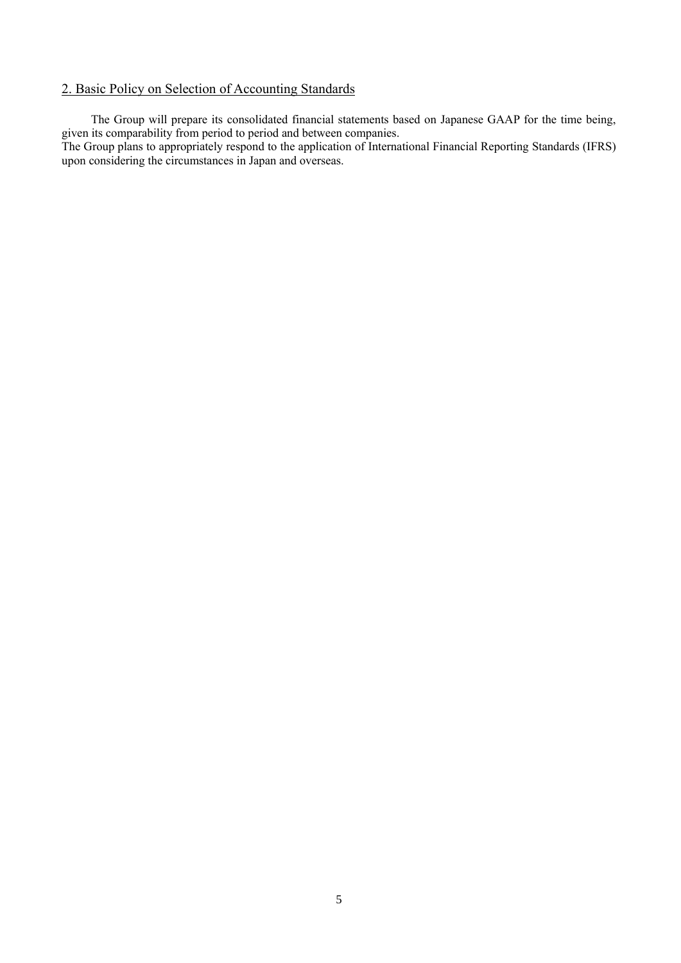## 2. Basic Policy on Selection of Accounting Standards

The Group will prepare its consolidated financial statements based on Japanese GAAP for the time being, given its comparability from period to period and between companies.

The Group plans to appropriately respond to the application of International Financial Reporting Standards (IFRS) upon considering the circumstances in Japan and overseas.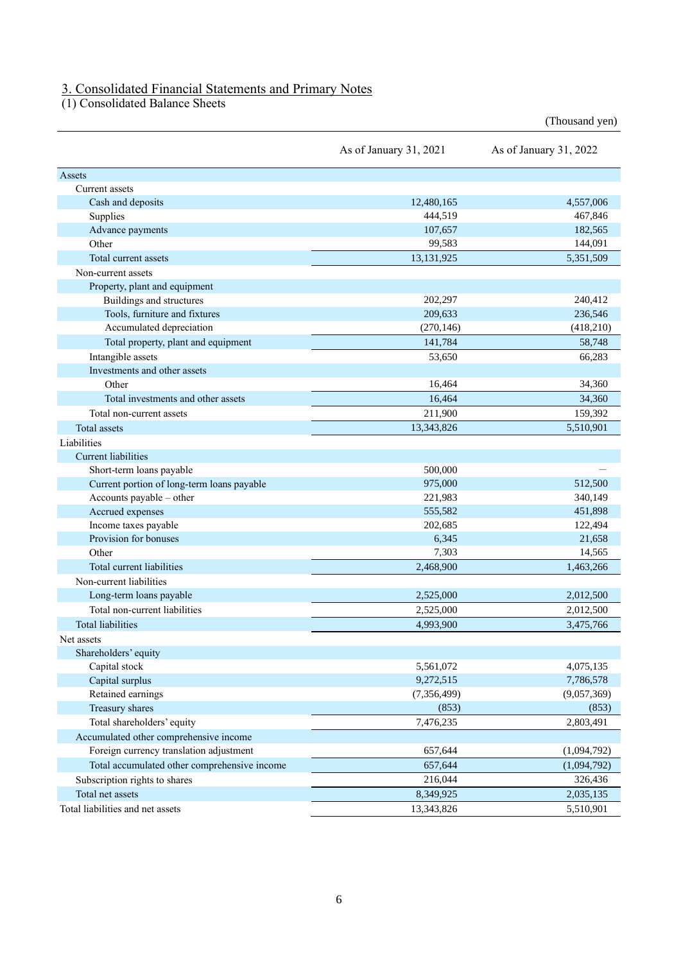### 3. Consolidated Financial Statements and Primary Notes

(1) Consolidated Balance Sheets

|                                              | As of January 31, 2021 | As of January 31, 2022 |
|----------------------------------------------|------------------------|------------------------|
| Assets                                       |                        |                        |
| Current assets                               |                        |                        |
| Cash and deposits                            | 12,480,165             | 4,557,006              |
| Supplies                                     | 444,519                | 467,846                |
| Advance payments                             | 107,657                | 182,565                |
| Other                                        | 99,583                 | 144,091                |
| Total current assets                         | 13,131,925             | 5,351,509              |
| Non-current assets                           |                        |                        |
| Property, plant and equipment                |                        |                        |
| Buildings and structures                     | 202,297                | 240,412                |
| Tools, furniture and fixtures                | 209,633                | 236,546                |
| Accumulated depreciation                     | (270, 146)             | (418,210)              |
| Total property, plant and equipment          | 141,784                | 58,748                 |
| Intangible assets                            | 53.650                 | 66,283                 |
| Investments and other assets                 |                        |                        |
| Other                                        | 16,464                 | 34,360                 |
| Total investments and other assets           | 16,464                 | 34,360                 |
| Total non-current assets                     | 211,900                | 159,392                |
| Total assets                                 | 13,343,826             | 5,510,901              |
| Liabilities                                  |                        |                        |
| <b>Current liabilities</b>                   |                        |                        |
| Short-term loans payable                     | 500,000                |                        |
| Current portion of long-term loans payable   | 975,000                | 512,500                |
| Accounts payable - other                     | 221,983                | 340,149                |
| Accrued expenses                             | 555,582                | 451,898                |
| Income taxes payable                         | 202,685                | 122,494                |
| Provision for bonuses                        | 6,345                  | 21,658                 |
| Other                                        | 7,303                  | 14,565                 |
| Total current liabilities                    | 2,468,900              | 1,463,266              |
| Non-current liabilities                      |                        |                        |
| Long-term loans payable                      | 2,525,000              | 2,012,500              |
| Total non-current liabilities                | 2,525,000              | 2,012,500              |
| <b>Total liabilities</b>                     | 4,993,900              | 3,475,766              |
| Net assets                                   |                        |                        |
| Shareholders' equity                         |                        |                        |
| Capital stock                                | 5,561,072              | 4,075,135              |
| Capital surplus                              | 9,272,515              | 7,786,578              |
| Retained earnings                            | (7, 356, 499)          | (9,057,369)            |
| Treasury shares                              | (853)                  | (853)                  |
| Total shareholders' equity                   | 7,476,235              | 2,803,491              |
| Accumulated other comprehensive income       |                        |                        |
| Foreign currency translation adjustment      | 657,644                | (1,094,792)            |
| Total accumulated other comprehensive income | 657,644                | (1,094,792)            |
| Subscription rights to shares                | 216,044                | 326,436                |
| Total net assets                             | 8,349,925              | 2,035,135              |
| Total liabilities and net assets             | 13,343,826             | 5,510,901              |

(Thousand yen)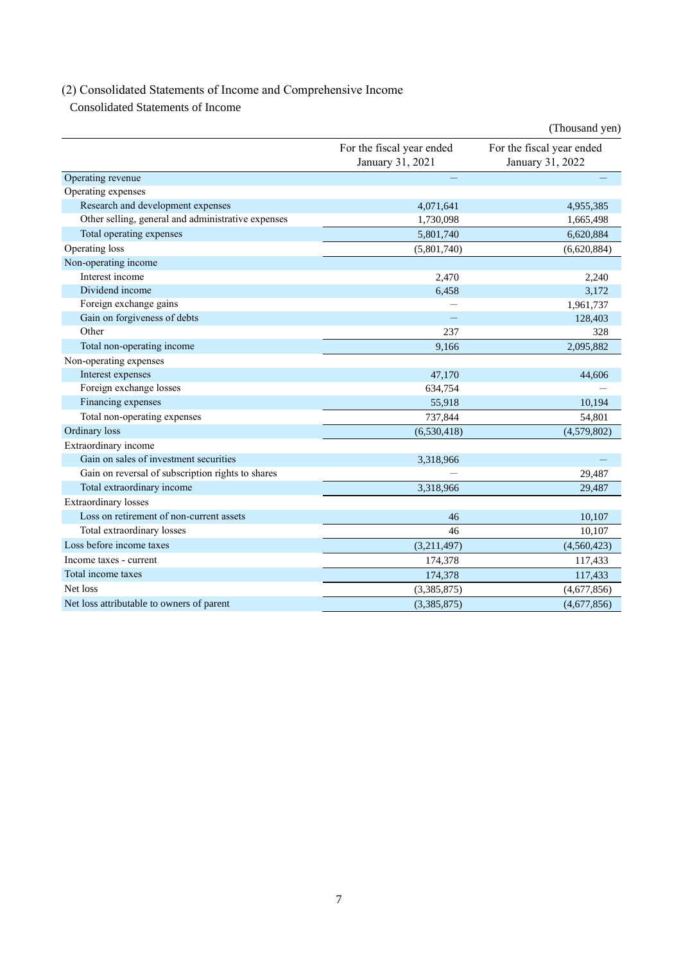# (2) Consolidated Statements of Income and Comprehensive Income

Consolidated Statements of Income

|                                                    |                                               | (Thousand yen)                                |
|----------------------------------------------------|-----------------------------------------------|-----------------------------------------------|
|                                                    | For the fiscal year ended<br>January 31, 2021 | For the fiscal year ended<br>January 31, 2022 |
| Operating revenue                                  |                                               |                                               |
| Operating expenses                                 |                                               |                                               |
| Research and development expenses                  | 4,071,641                                     | 4,955,385                                     |
| Other selling, general and administrative expenses | 1,730,098                                     | 1,665,498                                     |
| Total operating expenses                           | 5,801,740                                     | 6,620,884                                     |
| Operating loss                                     | (5,801,740)                                   | (6,620,884)                                   |
| Non-operating income                               |                                               |                                               |
| Interest income                                    | 2,470                                         | 2,240                                         |
| Dividend income                                    | 6,458                                         | 3,172                                         |
| Foreign exchange gains                             |                                               | 1,961,737                                     |
| Gain on forgiveness of debts                       |                                               | 128,403                                       |
| Other                                              | 237                                           | 328                                           |
| Total non-operating income                         | 9.166                                         | 2,095,882                                     |
| Non-operating expenses                             |                                               |                                               |
| Interest expenses                                  | 47,170                                        | 44,606                                        |
| Foreign exchange losses                            | 634,754                                       |                                               |
| Financing expenses                                 | 55,918                                        | 10,194                                        |
| Total non-operating expenses                       | 737,844                                       | 54,801                                        |
| Ordinary loss                                      | (6,530,418)                                   | (4,579,802)                                   |
| Extraordinary income                               |                                               |                                               |
| Gain on sales of investment securities             | 3,318,966                                     |                                               |
| Gain on reversal of subscription rights to shares  |                                               | 29,487                                        |
| Total extraordinary income                         | 3,318,966                                     | 29,487                                        |
| <b>Extraordinary</b> losses                        |                                               |                                               |
| Loss on retirement of non-current assets           | 46                                            | 10,107                                        |
| Total extraordinary losses                         | 46                                            | 10,107                                        |
| Loss before income taxes                           | (3,211,497)                                   | (4,560,423)                                   |
| Income taxes - current                             | 174,378                                       | 117,433                                       |
| Total income taxes                                 | 174,378                                       | 117,433                                       |
| Net loss                                           | (3,385,875)                                   | (4,677,856)                                   |
| Net loss attributable to owners of parent          | (3,385,875)                                   | (4,677,856)                                   |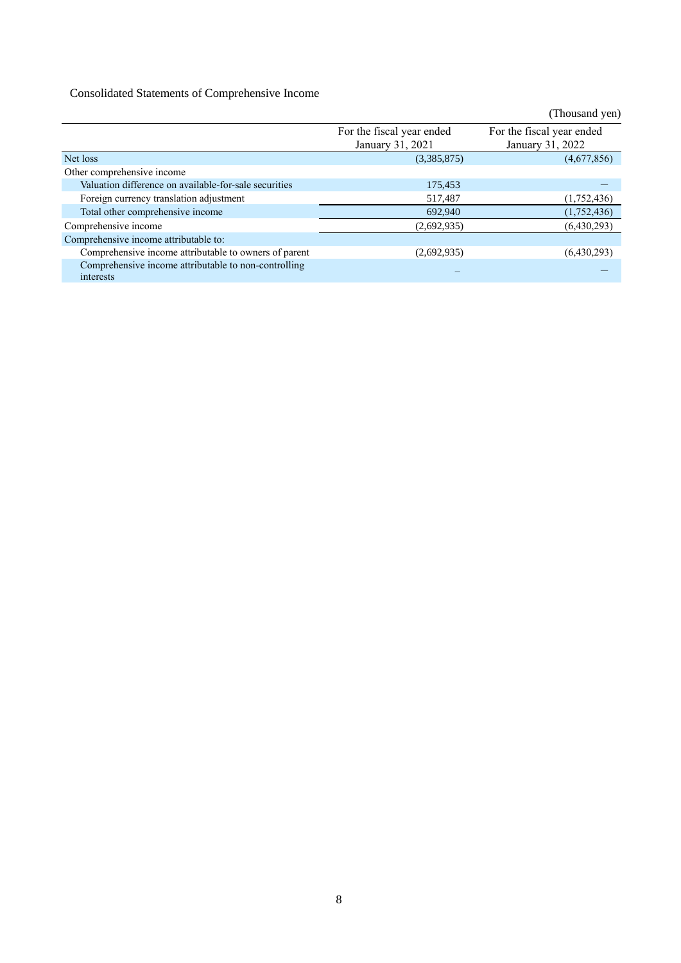## Consolidated Statements of Comprehensive Income

|                                                                   |                           | (Thousand yen)            |
|-------------------------------------------------------------------|---------------------------|---------------------------|
|                                                                   | For the fiscal year ended | For the fiscal year ended |
|                                                                   | January 31, 2021          | January 31, 2022          |
| Net loss                                                          | (3,385,875)               | (4,677,856)               |
| Other comprehensive income                                        |                           |                           |
| Valuation difference on available-for-sale securities             | 175,453                   |                           |
| Foreign currency translation adjustment                           | 517,487                   | (1,752,436)               |
| Total other comprehensive income                                  | 692,940                   | (1,752,436)               |
| Comprehensive income                                              | (2,692,935)               | (6,430,293)               |
| Comprehensive income attributable to:                             |                           |                           |
| Comprehensive income attributable to owners of parent             | (2,692,935)               | (6,430,293)               |
| Comprehensive income attributable to non-controlling<br>interests |                           |                           |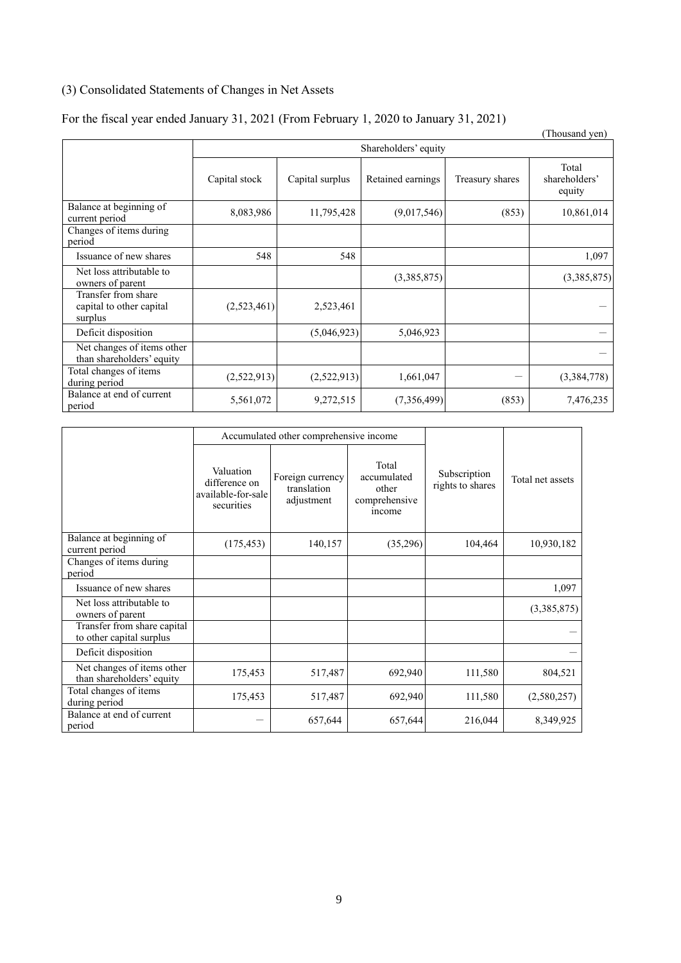## (3) Consolidated Statements of Changes in Net Assets

## For the fiscal year ended January 31, 2021 (From February 1, 2020 to January 31, 2021)

|                                                            |               |                      |                   |                 | (Thousand yen)                   |  |
|------------------------------------------------------------|---------------|----------------------|-------------------|-----------------|----------------------------------|--|
|                                                            |               | Shareholders' equity |                   |                 |                                  |  |
|                                                            | Capital stock | Capital surplus      | Retained earnings | Treasury shares | Total<br>shareholders'<br>equity |  |
| Balance at beginning of<br>current period                  | 8,083,986     | 11,795,428           | (9,017,546)       | (853)           | 10,861,014                       |  |
| Changes of items during<br>period                          |               |                      |                   |                 |                                  |  |
| Issuance of new shares                                     | 548           | 548                  |                   |                 | 1,097                            |  |
| Net loss attributable to<br>owners of parent               |               |                      | (3,385,875)       |                 | (3,385,875)                      |  |
| Transfer from share<br>capital to other capital<br>surplus | (2,523,461)   | 2,523,461            |                   |                 |                                  |  |
| Deficit disposition                                        |               | (5,046,923)          | 5,046,923         |                 |                                  |  |
| Net changes of items other<br>than shareholders' equity    |               |                      |                   |                 |                                  |  |
| Total changes of items<br>during period                    | (2,522,913)   | (2,522,913)          | 1,661,047         |                 | (3,384,778)                      |  |
| Balance at end of current<br>period                        | 5,561,072     | 9,272,515            | (7,356,499)       | (853)           | 7,476,235                        |  |

|                                                         |                                                                | Accumulated other comprehensive income        |                                                          |                                  |                  |  |
|---------------------------------------------------------|----------------------------------------------------------------|-----------------------------------------------|----------------------------------------------------------|----------------------------------|------------------|--|
|                                                         | Valuation<br>difference on<br>available-for-sale<br>securities | Foreign currency<br>translation<br>adjustment | Total<br>accumulated<br>other<br>comprehensive<br>income | Subscription<br>rights to shares | Total net assets |  |
| Balance at beginning of<br>current period               | (175, 453)                                                     | 140,157                                       | (35,296)                                                 | 104,464                          | 10,930,182       |  |
| Changes of items during<br>period                       |                                                                |                                               |                                                          |                                  |                  |  |
| Issuance of new shares                                  |                                                                |                                               |                                                          |                                  | 1,097            |  |
| Net loss attributable to<br>owners of parent            |                                                                |                                               |                                                          |                                  | (3,385,875)      |  |
| Transfer from share capital<br>to other capital surplus |                                                                |                                               |                                                          |                                  |                  |  |
| Deficit disposition                                     |                                                                |                                               |                                                          |                                  |                  |  |
| Net changes of items other<br>than shareholders' equity | 175,453                                                        | 517,487                                       | 692,940                                                  | 111,580                          | 804,521          |  |
| Total changes of items<br>during period                 | 175,453                                                        | 517,487                                       | 692,940                                                  | 111,580                          | (2,580,257)      |  |
| Balance at end of current<br>period                     |                                                                | 657,644                                       | 657,644                                                  | 216,044                          | 8,349,925        |  |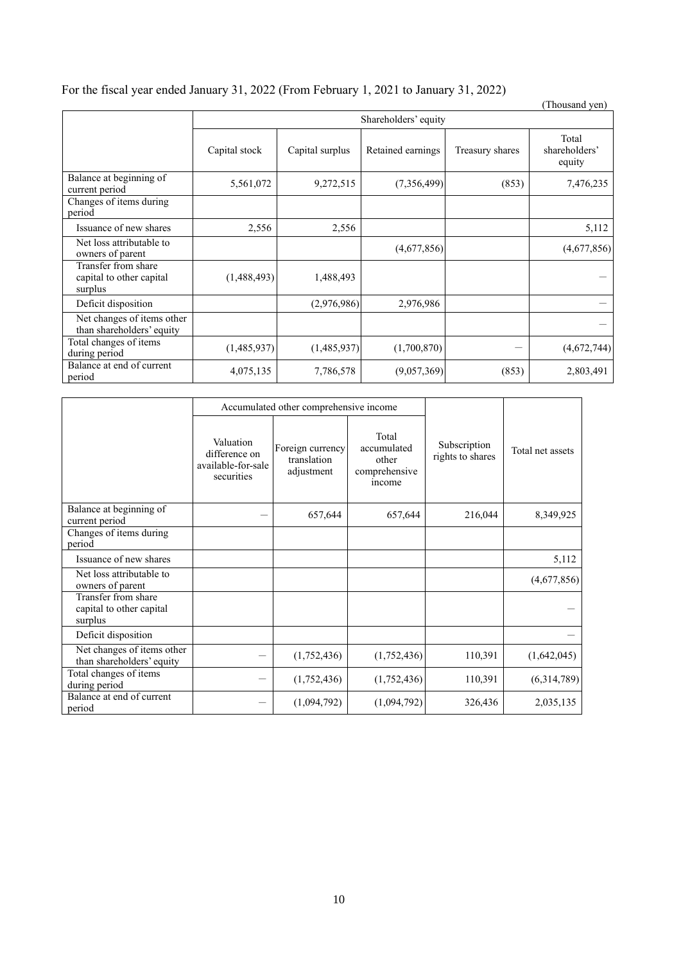| For the fiscal year ended January 31, 2022 (From February 1, 2021 to January 31, 2022) |  |  |  |  |
|----------------------------------------------------------------------------------------|--|--|--|--|
|                                                                                        |  |  |  |  |

|                                                            |                      |                 |                   |                 | (Thousand yen)                   |
|------------------------------------------------------------|----------------------|-----------------|-------------------|-----------------|----------------------------------|
|                                                            | Shareholders' equity |                 |                   |                 |                                  |
|                                                            | Capital stock        | Capital surplus | Retained earnings | Treasury shares | Total<br>shareholders'<br>equity |
| Balance at beginning of<br>current period                  | 5,561,072            | 9,272,515       | (7,356,499)       | (853)           | 7,476,235                        |
| Changes of items during<br>period                          |                      |                 |                   |                 |                                  |
| Issuance of new shares                                     | 2,556                | 2,556           |                   |                 | 5,112                            |
| Net loss attributable to<br>owners of parent               |                      |                 | (4,677,856)       |                 | (4,677,856)                      |
| Transfer from share<br>capital to other capital<br>surplus | (1,488,493)          | 1,488,493       |                   |                 |                                  |
| Deficit disposition                                        |                      | (2,976,986)     | 2,976,986         |                 |                                  |
| Net changes of items other<br>than shareholders' equity    |                      |                 |                   |                 |                                  |
| Total changes of items<br>during period                    | (1,485,937)          | (1,485,937)     | (1,700,870)       |                 | (4,672,744)                      |
| Balance at end of current<br>period                        | 4,075,135            | 7,786,578       | (9,057,369)       | (853)           | 2,803,491                        |

|                                                            | Accumulated other comprehensive income                         |                                               |                                                          |                                  |                  |  |
|------------------------------------------------------------|----------------------------------------------------------------|-----------------------------------------------|----------------------------------------------------------|----------------------------------|------------------|--|
|                                                            | Valuation<br>difference on<br>available-for-sale<br>securities | Foreign currency<br>translation<br>adjustment | Total<br>accumulated<br>other<br>comprehensive<br>income | Subscription<br>rights to shares | Total net assets |  |
| Balance at beginning of<br>current period                  |                                                                | 657,644                                       | 657,644                                                  | 216,044                          | 8,349,925        |  |
| Changes of items during<br>period                          |                                                                |                                               |                                                          |                                  |                  |  |
| Issuance of new shares                                     |                                                                |                                               |                                                          |                                  | 5,112            |  |
| Net loss attributable to<br>owners of parent               |                                                                |                                               |                                                          |                                  | (4,677,856)      |  |
| Transfer from share<br>capital to other capital<br>surplus |                                                                |                                               |                                                          |                                  |                  |  |
| Deficit disposition                                        |                                                                |                                               |                                                          |                                  |                  |  |
| Net changes of items other<br>than shareholders' equity    |                                                                | (1,752,436)                                   | (1,752,436)                                              | 110,391                          | (1,642,045)      |  |
| Total changes of items<br>during period                    |                                                                | (1,752,436)                                   | (1,752,436)                                              | 110,391                          | (6,314,789)      |  |
| Balance at end of current<br>period                        |                                                                | (1,094,792)                                   | (1,094,792)                                              | 326,436                          | 2,035,135        |  |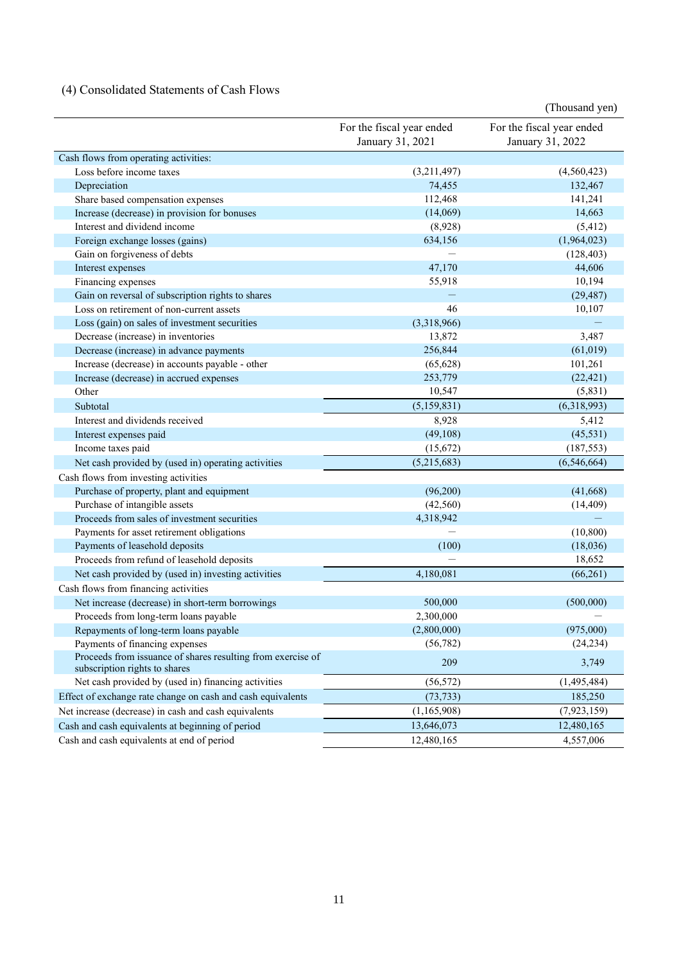## (4) Consolidated Statements of Cash Flows

|                                                                                              |                                               | (Thousand yen)                                |
|----------------------------------------------------------------------------------------------|-----------------------------------------------|-----------------------------------------------|
|                                                                                              | For the fiscal year ended<br>January 31, 2021 | For the fiscal year ended<br>January 31, 2022 |
| Cash flows from operating activities:                                                        |                                               |                                               |
| Loss before income taxes                                                                     | (3,211,497)                                   | (4,560,423)                                   |
| Depreciation                                                                                 | 74,455                                        | 132,467                                       |
| Share based compensation expenses                                                            | 112,468                                       | 141,241                                       |
| Increase (decrease) in provision for bonuses                                                 | (14,069)                                      | 14,663                                        |
| Interest and dividend income                                                                 | (8,928)                                       | (5, 412)                                      |
| Foreign exchange losses (gains)                                                              | 634,156                                       | (1,964,023)                                   |
| Gain on forgiveness of debts                                                                 |                                               | (128, 403)                                    |
| Interest expenses                                                                            | 47,170                                        | 44,606                                        |
| Financing expenses                                                                           | 55,918                                        | 10,194                                        |
| Gain on reversal of subscription rights to shares                                            |                                               | (29, 487)                                     |
| Loss on retirement of non-current assets                                                     | 46                                            | 10,107                                        |
| Loss (gain) on sales of investment securities                                                | (3,318,966)                                   |                                               |
| Decrease (increase) in inventories                                                           | 13,872                                        | 3,487                                         |
| Decrease (increase) in advance payments                                                      | 256,844                                       | (61, 019)                                     |
| Increase (decrease) in accounts payable - other                                              | (65, 628)                                     | 101,261                                       |
| Increase (decrease) in accrued expenses                                                      | 253,779                                       | (22, 421)                                     |
| Other                                                                                        | 10,547                                        | (5,831)                                       |
| Subtotal                                                                                     | (5,159,831)                                   | (6,318,993)                                   |
| Interest and dividends received                                                              | 8,928                                         | 5,412                                         |
| Interest expenses paid                                                                       | (49,108)                                      | (45,531)                                      |
| Income taxes paid                                                                            | (15,672)                                      | (187, 553)                                    |
| Net cash provided by (used in) operating activities                                          | (5,215,683)                                   | (6,546,664)                                   |
| Cash flows from investing activities                                                         |                                               |                                               |
| Purchase of property, plant and equipment                                                    | (96,200)                                      | (41,668)                                      |
| Purchase of intangible assets                                                                | (42, 560)                                     | (14, 409)                                     |
| Proceeds from sales of investment securities                                                 | 4,318,942                                     |                                               |
| Payments for asset retirement obligations                                                    |                                               | (10, 800)                                     |
| Payments of leasehold deposits                                                               | (100)                                         | (18,036)                                      |
| Proceeds from refund of leasehold deposits                                                   |                                               | 18,652                                        |
| Net cash provided by (used in) investing activities                                          | 4,180,081                                     | (66,261)                                      |
| Cash flows from financing activities                                                         |                                               |                                               |
| Net increase (decrease) in short-term borrowings                                             | 500,000                                       | (500,000)                                     |
| Proceeds from long-term loans payable                                                        | 2,300,000                                     |                                               |
| Repayments of long-term loans payable                                                        | (2,800,000)                                   | (975,000)                                     |
| Payments of financing expenses                                                               | (56, 782)                                     | (24, 234)                                     |
| Proceeds from issuance of shares resulting from exercise of<br>subscription rights to shares | 209                                           | 3,749                                         |
| Net cash provided by (used in) financing activities                                          | (56, 572)                                     | (1,495,484)                                   |
| Effect of exchange rate change on cash and cash equivalents                                  | (73, 733)                                     | 185,250                                       |
| Net increase (decrease) in cash and cash equivalents                                         | (1,165,908)                                   | (7,923,159)                                   |
| Cash and cash equivalents at beginning of period                                             | 13,646,073                                    | 12,480,165                                    |
| Cash and cash equivalents at end of period                                                   | 12,480,165                                    | 4,557,006                                     |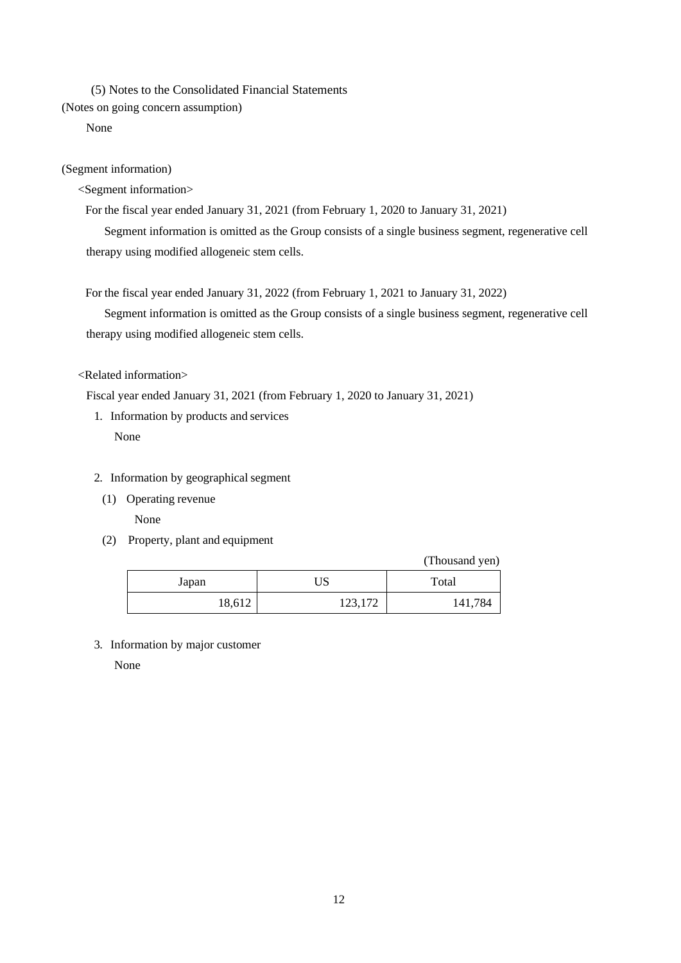(5) Notes to the Consolidated Financial Statements

(Notes on going concern assumption)

None

(Segment information)

<Segment information>

For the fiscal year ended January 31, 2021 (from February 1, 2020 to January 31, 2021)

Segment information is omitted as the Group consists of a single business segment, regenerative cell therapy using modified allogeneic stem cells.

For the fiscal year ended January 31, 2022 (from February 1, 2021 to January 31, 2022)

Segment information is omitted as the Group consists of a single business segment, regenerative cell therapy using modified allogeneic stem cells.

### <Related information>

Fiscal year ended January 31, 2021 (from February 1, 2020 to January 31, 2021)

1. Information by products and services

None

- 2. Information by geographical segment
	- (1) Operating revenue

None

(2) Property, plant and equipment

(Thousand yen)

| Japan  | US      | Total   |
|--------|---------|---------|
| 18,612 | 123,172 | 141,784 |

3. Information by major customer

None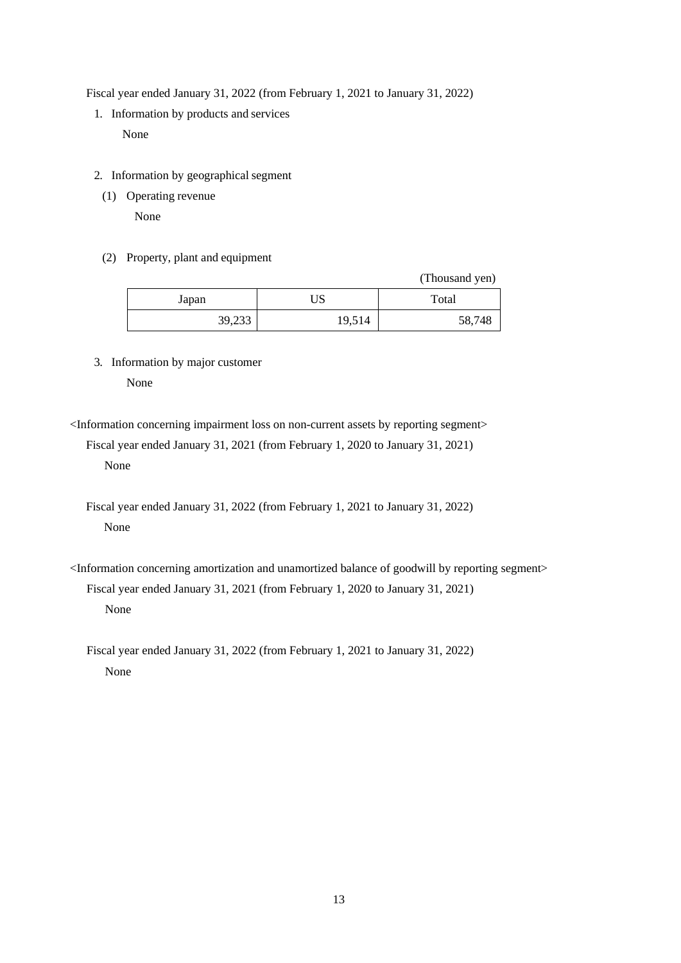Fiscal year ended January 31, 2022 (from February 1, 2021 to January 31, 2022)

- 1. Information by products and services None
- 2. Information by geographical segment
	- (1) Operating revenue

None

(2) Property, plant and equipment

|        |        | (Thousand yen) |
|--------|--------|----------------|
| Japan  | US     | Total          |
| 39,233 | 19,514 | 58,748         |

3. Information by major customer

None

<Information concerning impairment loss on non-current assets by reporting segment>

Fiscal year ended January 31, 2021 (from February 1, 2020 to January 31, 2021) None

Fiscal year ended January 31, 2022 (from February 1, 2021 to January 31, 2022) None

<Information concerning amortization and unamortized balance of goodwill by reporting segment> Fiscal year ended January 31, 2021 (from February 1, 2020 to January 31, 2021) None

Fiscal year ended January 31, 2022 (from February 1, 2021 to January 31, 2022) None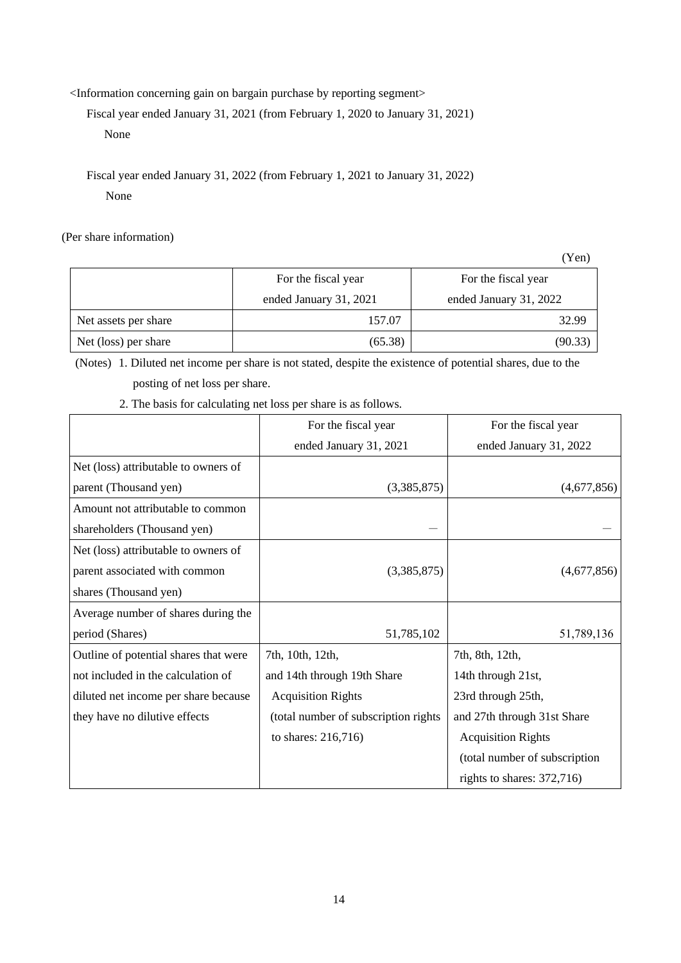<Information concerning gain on bargain purchase by reporting segment>

Fiscal year ended January 31, 2021 (from February 1, 2020 to January 31, 2021)

None

Fiscal year ended January 31, 2022 (from February 1, 2021 to January 31, 2022) None

(Per share information)

(Yen) For the fiscal year ended January 31, 2021 For the fiscal year ended January 31, 2022 Net assets per share 157.07 157.07 32.99 Net (loss) per share (65.38) (90.33)

(Notes) 1. Diluted net income per share is not stated, despite the existence of potential shares, due to the posting of net loss per share.

2. The basis for calculating net loss per share is as follows.

|                                       | For the fiscal year                   | For the fiscal year           |
|---------------------------------------|---------------------------------------|-------------------------------|
|                                       | ended January 31, 2021                | ended January 31, 2022        |
| Net (loss) attributable to owners of  |                                       |                               |
| parent (Thousand yen)                 | (3,385,875)                           | (4,677,856)                   |
| Amount not attributable to common     |                                       |                               |
| shareholders (Thousand yen)           |                                       |                               |
| Net (loss) attributable to owners of  |                                       |                               |
| parent associated with common         | (3,385,875)                           | (4,677,856)                   |
| shares (Thousand yen)                 |                                       |                               |
| Average number of shares during the   |                                       |                               |
| period (Shares)                       | 51,785,102                            | 51,789,136                    |
| Outline of potential shares that were | 7th, 10th, 12th,                      | 7th, 8th, 12th,               |
| not included in the calculation of    | and 14th through 19th Share           | 14th through 21st,            |
| diluted net income per share because  | <b>Acquisition Rights</b>             | 23rd through 25th,            |
| they have no dilutive effects         | (total number of subscription rights) | and 27th through 31st Share   |
|                                       | to shares: 216,716)                   | <b>Acquisition Rights</b>     |
|                                       |                                       | (total number of subscription |
|                                       |                                       | rights to shares: $372,716$   |